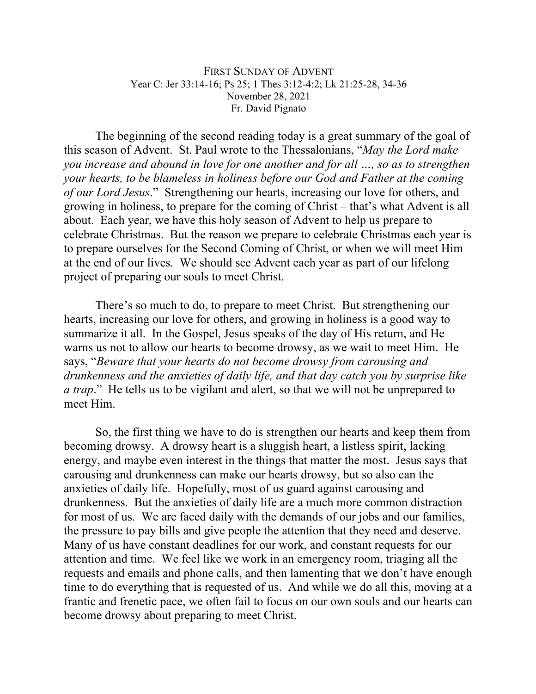## FIRST SUNDAY OF ADVENT Year C: Jer 33:14-16; Ps 25; 1 Thes 3:12-4:2; Lk 21:25-28, 34-36 November 28, 2021 Fr. David Pignato

The beginning of the second reading today is a great summary of the goal of this season of Advent. St. Paul wrote to the Thessalonians, "*May the Lord make you increase and abound in love for one another and for all …, so as to strengthen your hearts, to be blameless in holiness before our God and Father at the coming of our Lord Jesus*." Strengthening our hearts, increasing our love for others, and growing in holiness, to prepare for the coming of Christ – that's what Advent is all about. Each year, we have this holy season of Advent to help us prepare to celebrate Christmas. But the reason we prepare to celebrate Christmas each year is to prepare ourselves for the Second Coming of Christ, or when we will meet Him at the end of our lives. We should see Advent each year as part of our lifelong project of preparing our souls to meet Christ.

There's so much to do, to prepare to meet Christ. But strengthening our hearts, increasing our love for others, and growing in holiness is a good way to summarize it all. In the Gospel, Jesus speaks of the day of His return, and He warns us not to allow our hearts to become drowsy, as we wait to meet Him. He says, "*Beware that your hearts do not become drowsy from carousing and drunkenness and the anxieties of daily life, and that day catch you by surprise like a trap*." He tells us to be vigilant and alert, so that we will not be unprepared to meet Him.

So, the first thing we have to do is strengthen our hearts and keep them from becoming drowsy. A drowsy heart is a sluggish heart, a listless spirit, lacking energy, and maybe even interest in the things that matter the most. Jesus says that carousing and drunkenness can make our hearts drowsy, but so also can the anxieties of daily life. Hopefully, most of us guard against carousing and drunkenness. But the anxieties of daily life are a much more common distraction for most of us. We are faced daily with the demands of our jobs and our families, the pressure to pay bills and give people the attention that they need and deserve. Many of us have constant deadlines for our work, and constant requests for our attention and time. We feel like we work in an emergency room, triaging all the requests and emails and phone calls, and then lamenting that we don't have enough time to do everything that is requested of us. And while we do all this, moving at a frantic and frenetic pace, we often fail to focus on our own souls and our hearts can become drowsy about preparing to meet Christ.